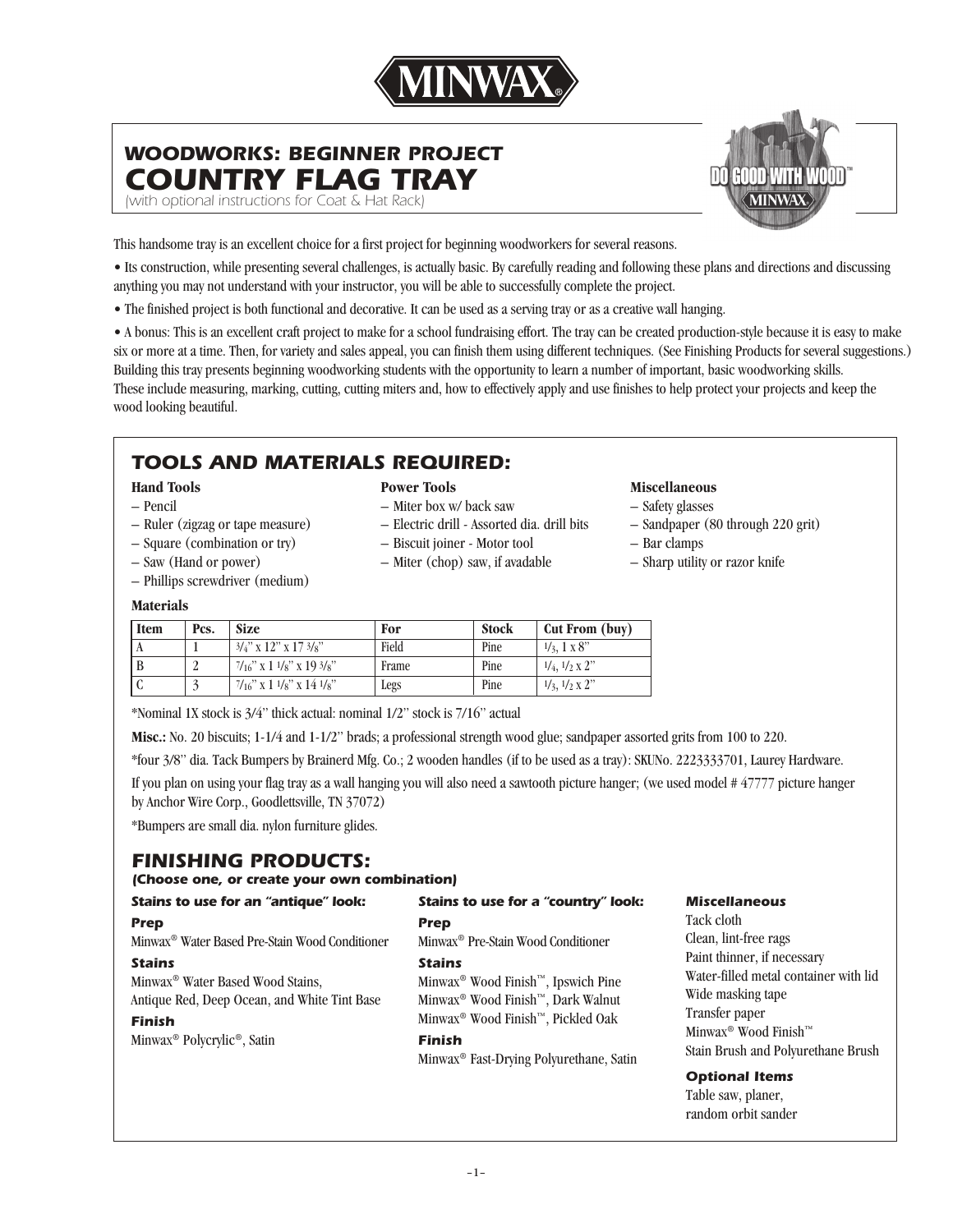

## *WOODWORKS: BEGINNER PROJECT COUNTRY FLAG TRAY*

*(with optional instructions for Coat & Hat Rack)* 



This handsome tray is an excellent choice for a first project for beginning woodworkers for several reasons.

• Its construction, while presenting several challenges, is actually basic. By carefully reading and following these plans and directions and discussing anything you may not understand with your instructor, you will be able to successfully complete the project.

• The finished project is both functional and decorative. It can be used as a serving tray or as a creative wall hanging.

• A bonus: This is an excellent craft project to make for a school fundraising effort. The tray can be created production-style because it is easy to make six or more at a time. Then, for variety and sales appeal, you can finish them using different techniques. (See Finishing Products for several suggestions.) Building this tray presents beginning woodworking students with the opportunity to learn a number of important, basic woodworking skills. These include measuring, marking, cutting, cutting miters and, how to effectively apply and use finishes to help protect your projects and keep the wood looking beautiful.

# *TOOLS AND MATERIALS REQUIRED:*

### **Hand Tools**

- Pencil
- Ruler (zigzag or tape measure) – Square (combination or try)

– Saw (Hand or power) – Phillips screwdriver (medium) – Miter box w/ back saw – Electric drill - Assorted dia. drill bits

**Power Tools**

- Biscuit joiner Motor tool
- Miter (chop) saw, if avadable

### **Miscellaneous**

- Safety glasses
- Sandpaper (80 through 220 grit)
- Bar clamps
- Sharp utility or razor knife

### **Materials**

| <b>Item</b> | Pcs. | <b>Size</b>                       | For   | Stock | Cut From (buy)                     |
|-------------|------|-----------------------------------|-------|-------|------------------------------------|
|             |      | $3/4$ " x 12" x 17 $3/8$ "        | Field | Pine  | $\frac{1}{3}$ , 1 x 8"             |
|             |      | $7/16$ " x 1 $1/s$ " x 19 $3/s$ " | Frame | Pine  | $\frac{1}{4}$ , $\frac{1}{2}$ x 2" |
|             |      | $7/16$ " x 1 $1/8$ " x 14 $1/8$ " | Legs  | Pine  | $\frac{1}{3}$ , $\frac{1}{2}$ x 2" |

\*Nominal 1X stock is 3/4" thick actual: nominal 1/2" stock is 7/16" actual

**Misc.:** No. 20 biscuits; 1-1/4 and 1-1/2" brads; a professional strength wood glue; sandpaper assorted grits from 100 to 220.

\*four 3/8" dia. Tack Bumpers by Brainerd Mfg. Co.; 2 wooden handles (if to be used as a tray): SKUNo. 2223333701, Laurey Hardware.

If you plan on using your flag tray as a wall hanging you will also need a sawtooth picture hanger; (we used model # 47777 picture hanger by Anchor Wire Corp., Goodlettsville, TN 37072)

\*Bumpers are small dia. nylon furniture glides.

## *FINISHING PRODUCTS:*

#### *(Choose one, or create your own combination)*

| Stains to use for an "antique" look:                                                                                                                                                  | Stains to use for a "country" look:                                                                                                                                                                                                                    | <b>Miscellaneous</b>                                                                                                                                                                                                                    |  |
|---------------------------------------------------------------------------------------------------------------------------------------------------------------------------------------|--------------------------------------------------------------------------------------------------------------------------------------------------------------------------------------------------------------------------------------------------------|-----------------------------------------------------------------------------------------------------------------------------------------------------------------------------------------------------------------------------------------|--|
| <b>Prep</b>                                                                                                                                                                           | <b>Prep</b>                                                                                                                                                                                                                                            | Tack cloth                                                                                                                                                                                                                              |  |
| Minwax <sup>®</sup> Water Based Pre-Stain Wood Conditioner                                                                                                                            | Minwax <sup>®</sup> Pre-Stain Wood Conditioner                                                                                                                                                                                                         | Clean, lint-free rags<br>Paint thinner, if necessary<br>Water-filled metal container with lid<br>Wide masking tape<br>Transfer paper<br>Minwax <sup>®</sup> Wood Finish™<br>Stain Brush and Polyurethane Brush<br><b>Optional Items</b> |  |
| <b>Stains</b><br>Minwax <sup>®</sup> Water Based Wood Stains,<br>Antique Red, Deep Ocean, and White Tint Base<br><b>Finish</b><br>Minwax <sup>®</sup> Polycrylic <sup>®</sup> , Satin | <b>Stains</b><br>Minwax <sup>®</sup> Wood Finish <sup>™</sup> , Ipswich Pine<br>Minwax <sup>®</sup> Wood Finish™, Dark Walnut<br>Minwax <sup>®</sup> Wood Finish™, Pickled Oak<br><b>Finish</b><br>Minwax <sup>®</sup> Fast-Drying Polyurethane, Satin |                                                                                                                                                                                                                                         |  |

Table saw, planer, random orbit sander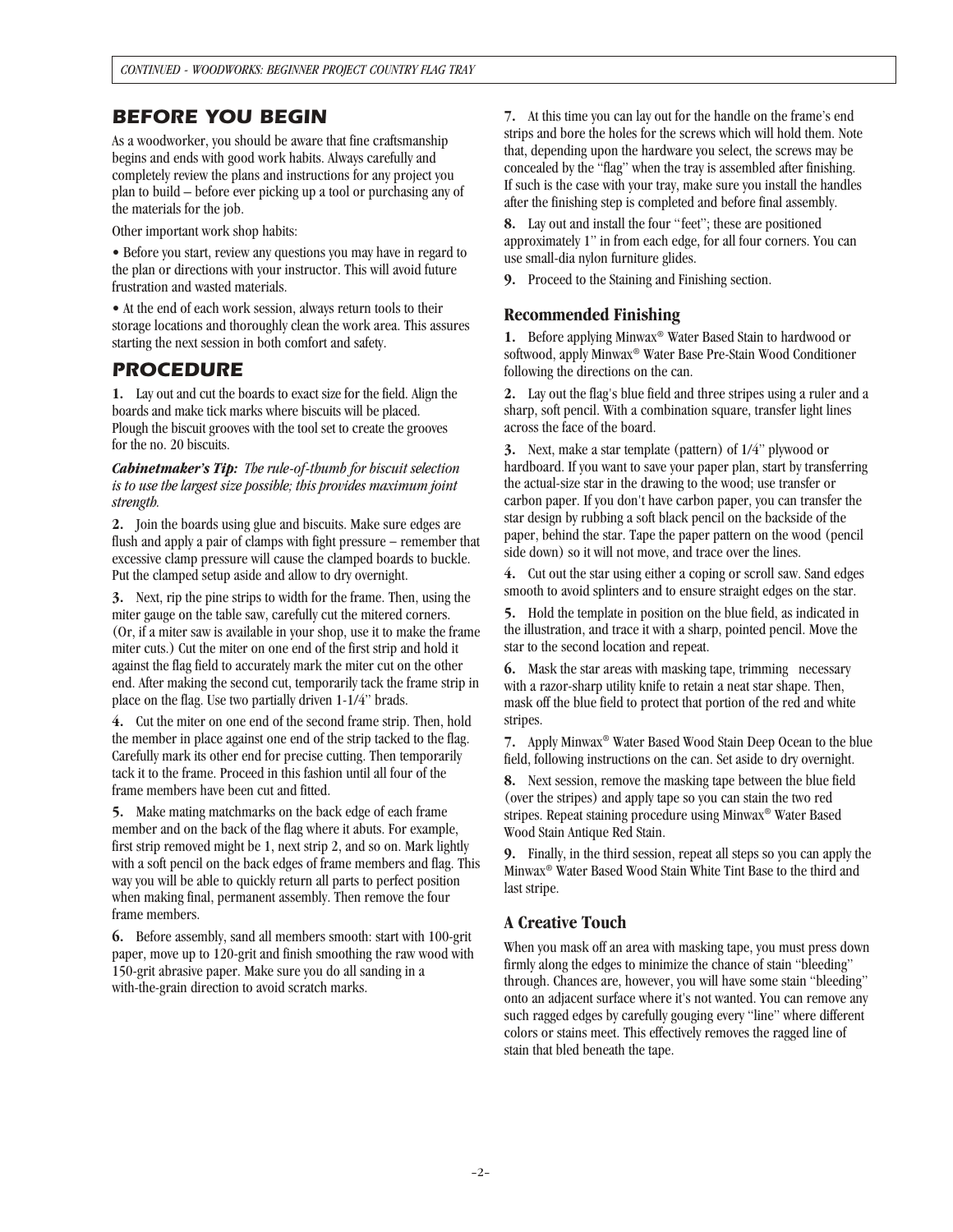## *BEFORE YOU BEGIN*

As a woodworker, you should be aware that fine craftsmanship begins and ends with good work habits. Always carefully and completely review the plans and instructions for any project you plan to build – before ever picking up a tool or purchasing any of the materials for the job.

Other important work shop habits:

• Before you start, review any questions you may have in regard to the plan or directions with your instructor. This will avoid future frustration and wasted materials.

• At the end of each work session, always return tools to their storage locations and thoroughly clean the work area. This assures starting the next session in both comfort and safety.

## *PROCEDURE*

**1.** Lay out and cut the boards to exact size for the field. Align the boards and make tick marks where biscuits will be placed. Plough the biscuit grooves with the tool set to create the grooves for the no. 20 biscuits.

*Cabinetmaker's Tip: The rule-of-thumb for biscuit selection is to use the largest size possible; this provides maximum joint strength.*

**2.** Join the boards using glue and biscuits. Make sure edges are flush and apply a pair of clamps with fight pressure – remember that excessive clamp pressure will cause the clamped boards to buckle. Put the clamped setup aside and allow to dry overnight.

**3.** Next, rip the pine strips to width for the frame. Then, using the miter gauge on the table saw, carefully cut the mitered corners. (Or, if a miter saw is available in your shop, use it to make the frame miter cuts.) Cut the miter on one end of the first strip and hold it against the flag field to accurately mark the miter cut on the other end. After making the second cut, temporarily tack the frame strip in place on the flag. Use two partially driven 1-1/4" brads.

**4.** Cut the miter on one end of the second frame strip. Then, hold the member in place against one end of the strip tacked to the flag. Carefully mark its other end for precise cutting. Then temporarily tack it to the frame. Proceed in this fashion until all four of the frame members have been cut and fitted.

**5.** Make mating matchmarks on the back edge of each frame member and on the back of the flag where it abuts. For example, first strip removed might be 1, next strip 2, and so on. Mark lightly with a soft pencil on the back edges of frame members and flag. This way you will be able to quickly return all parts to perfect position when making final, permanent assembly. Then remove the four frame members.

**6.** Before assembly, sand all members smooth: start with 100-grit paper, move up to 120-grit and finish smoothing the raw wood with 150-grit abrasive paper. Make sure you do all sanding in a with-the-grain direction to avoid scratch marks.

**7.** At this time you can lay out for the handle on the frame's end strips and bore the holes for the screws which will hold them. Note that, depending upon the hardware you select, the screws may be concealed by the "flag" when the tray is assembled after finishing. If such is the case with your tray, make sure you install the handles after the finishing step is completed and before final assembly.

**8.** Lay out and install the four "feet"; these are positioned approximately 1" in from each edge, for all four corners. You can use small-dia nylon furniture glides.

**9.** Proceed to the Staining and Finishing section.

### **Recommended Finishing**

**1.** Before applying Minwax® Water Based Stain to hardwood or softwood, apply Minwax® Water Base Pre-Stain Wood Conditioner following the directions on the can.

**2.** Lay out the flag's blue field and three stripes using a ruler and a sharp, soft pencil. With a combination square, transfer light lines across the face of the board.

**3.** Next, make a star template (pattern) of 1/4" plywood or hardboard. If you want to save your paper plan, start by transferring the actual-size star in the drawing to the wood; use transfer or carbon paper. If you don't have carbon paper, you can transfer the star design by rubbing a soft black pencil on the backside of the paper, behind the star. Tape the paper pattern on the wood (pencil side down) so it will not move, and trace over the lines.

**4.** Cut out the star using either a coping or scroll saw. Sand edges smooth to avoid splinters and to ensure straight edges on the star.

**5.** Hold the template in position on the blue field, as indicated in the illustration, and trace it with a sharp, pointed pencil. Move the star to the second location and repeat.

**6.** Mask the star areas with masking tape, trimming necessary with a razor-sharp utility knife to retain a neat star shape. Then, mask off the blue field to protect that portion of the red and white stripes.

**7.** Apply Minwax® Water Based Wood Stain Deep Ocean to the blue field, following instructions on the can. Set aside to dry overnight.

**8.** Next session, remove the masking tape between the blue field (over the stripes) and apply tape so you can stain the two red stripes. Repeat staining procedure using Minwax® Water Based Wood Stain Antique Red Stain.

**9.** Finally, in the third session, repeat all steps so you can apply the Minwax® Water Based Wood Stain White Tint Base to the third and last stripe.

## **A Creative Touch**

When you mask off an area with masking tape, you must press down firmly along the edges to minimize the chance of stain "bleeding" through. Chances are, however, you will have some stain "bleeding" onto an adjacent surface where it's not wanted. You can remove any such ragged edges by carefully gouging every "line" where different colors or stains meet. This effectively removes the ragged line of stain that bled beneath the tape.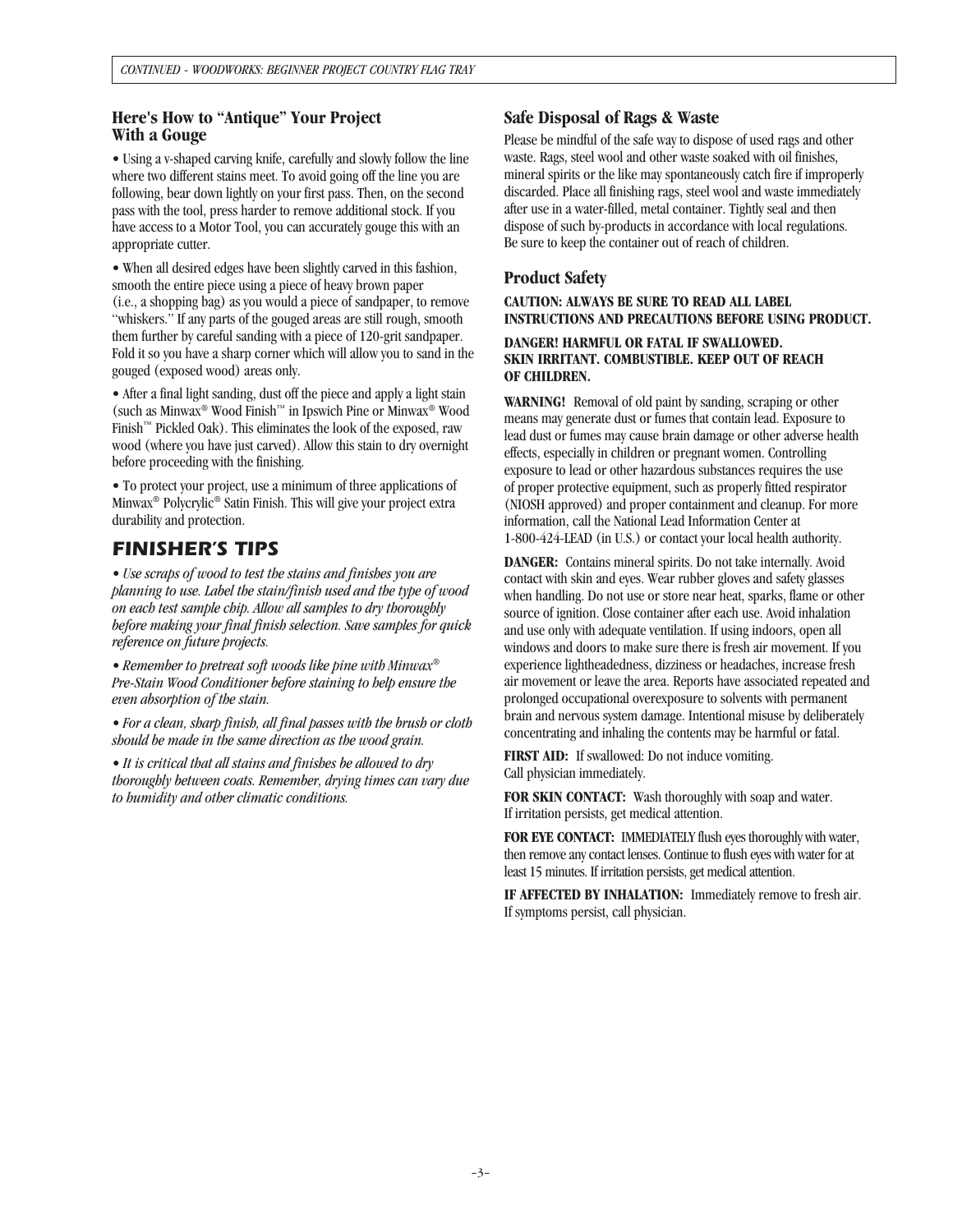### **Here's How to "Antique" Your Project With a Gouge**

• Using a v-shaped carving knife, carefully and slowly follow the line where two different stains meet. To avoid going off the line you are following, bear down lightly on your first pass. Then, on the second pass with the tool, press harder to remove additional stock. If you have access to a Motor Tool, you can accurately gouge this with an appropriate cutter.

• When all desired edges have been slightly carved in this fashion, smooth the entire piece using a piece of heavy brown paper (i.e., a shopping bag) as you would a piece of sandpaper, to remove "whiskers." If any parts of the gouged areas are still rough, smooth them further by careful sanding with a piece of 120-grit sandpaper. Fold it so you have a sharp corner which will allow you to sand in the gouged (exposed wood) areas only.

• After a final light sanding, dust off the piece and apply a light stain (such as Minwax® Wood Finish™ in Ipswich Pine or Minwax® Wood Finish™ Pickled Oak). This eliminates the look of the exposed, raw wood (where you have just carved). Allow this stain to dry overnight before proceeding with the finishing.

• To protect your project, use a minimum of three applications of Minwax® Polycrylic® Satin Finish. This will give your project extra durability and protection.

# *FINISHER'S TIPS*

*• Use scraps of wood to test the stains and finishes you are planning to use. Label the stain/finish used and the type of wood on each test sample chip. Allow all samples to dry thoroughly before making your final finish selection. Save samples for quick reference on future projects.* 

*• Remember to pretreat soft woods like pine with Minwax® Pre-Stain Wood Conditioner before staining to help ensure the even absorption of the stain.* 

*• For a clean, sharp finish, all final passes with the brush or cloth should be made in the same direction as the wood grain.* 

*• It is critical that all stains and finishes be allowed to dry thoroughly between coats. Remember, drying times can vary due to humidity and other climatic conditions.*

### **Safe Disposal of Rags & Waste**

Please be mindful of the safe way to dispose of used rags and other waste. Rags, steel wool and other waste soaked with oil finishes, mineral spirits or the like may spontaneously catch fire if improperly discarded. Place all finishing rags, steel wool and waste immediately after use in a water-filled, metal container. Tightly seal and then dispose of such by-products in accordance with local regulations. Be sure to keep the container out of reach of children.

## **Product Safety**

**CAUTION: ALWAYS BE SURE TO READ ALL LABEL INSTRUCTIONS AND PRECAUTIONS BEFORE USING PRODUCT.**

#### **DANGER! HARMFUL OR FATAL IF SWALLOWED. SKIN IRRITANT. COMBUSTIBLE. KEEP OUT OF REACH OF CHILDREN.**

**WARNING!** Removal of old paint by sanding, scraping or other means may generate dust or fumes that contain lead. Exposure to lead dust or fumes may cause brain damage or other adverse health effects, especially in children or pregnant women. Controlling exposure to lead or other hazardous substances requires the use of proper protective equipment, such as properly fitted respirator (NIOSH approved) and proper containment and cleanup. For more information, call the National Lead Information Center at 1-800-424-LEAD (in U.S.) or contact your local health authority.

**DANGER:** Contains mineral spirits. Do not take internally. Avoid contact with skin and eyes. Wear rubber gloves and safety glasses when handling. Do not use or store near heat, sparks, flame or other source of ignition. Close container after each use. Avoid inhalation and use only with adequate ventilation. If using indoors, open all windows and doors to make sure there is fresh air movement. If you experience lightheadedness, dizziness or headaches, increase fresh air movement or leave the area. Reports have associated repeated and prolonged occupational overexposure to solvents with permanent brain and nervous system damage. Intentional misuse by deliberately concentrating and inhaling the contents may be harmful or fatal.

**FIRST AID:** If swallowed: Do not induce vomiting. Call physician immediately.

**FOR SKIN CONTACT:** Wash thoroughly with soap and water. If irritation persists, get medical attention.

**FOR EYE CONTACT:** IMMEDIATELY flush eyes thoroughly with water, then remove any contact lenses. Continue to flush eyes with water for at least 15 minutes. If irritation persists, get medical attention.

**IF AFFECTED BY INHALATION:** Immediately remove to fresh air. If symptoms persist, call physician.